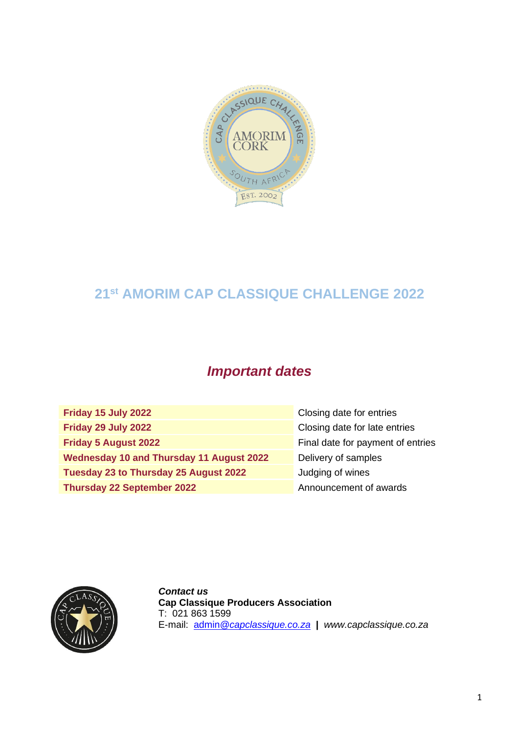

# **21 st AMORIM CAP CLASSIQUE CHALLENGE 2022**

# *Important dates*

| Friday 15 July 2022                      | Closing date for entries          |
|------------------------------------------|-----------------------------------|
| Friday 29 July 2022                      | Closing date for late entries     |
| <b>Friday 5 August 2022</b>              | Final date for payment of entries |
| Wednesday 10 and Thursday 11 August 2022 | Delivery of samples               |
| Tuesday 23 to Thursday 25 August 2022    | Judging of wines                  |
| <b>Thursday 22 September 2022</b>        | Announcement of awards            |



*Contact us* **Cap Classique Producers Association** T: 021 863 1599 E-mail: admin*[@capclassique.co.za](mailto:admin@capclassique.co.za)* **|** *www.capclassique.co.za*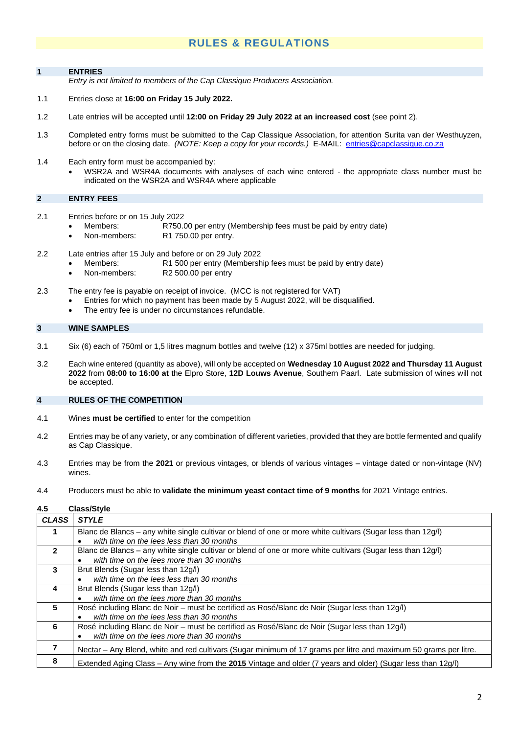## **RULES & REGULATIONS**

#### **1 ENTRIES**

*Entry is not limited to members of the Cap Classique Producers Association.*

- 1.1 Entries close at **16:00 on Friday 15 July 2022.**
- 1.2 Late entries will be accepted until **12:00 on Friday 29 July 2022 at an increased cost** (see point 2).
- 1.3 Completed entry forms must be submitted to the Cap Classique Association, for attention Surita van der Westhuyzen, before or on the closing date. *(NOTE: Keep a copy for your records.)* E-MAIL: [entries@capclassique.co.za](mailto:entries@capclassique.co.za)
- 1.4 Each entry form must be accompanied by:
	- WSR2A and WSR4A documents with analyses of each wine entered the appropriate class number must be indicated on the WSR2A and WSR4A where applicable

### **2 ENTRY FEES**

- 2.1 Entries before or on 15 July 2022<br>Members: R750.
	- Members: R750.00 per entry (Membership fees must be paid by entry date)
	- Non-members: R1 750.00 per entry.
- 2.2 Late entries after 15 July and before or on 29 July 2022
	- Members: R1 500 per entry (Membership fees must be paid by entry date)
	- Non-members: R2 500.00 per entry
- 2.3 The entry fee is payable on receipt of invoice. (MCC is not registered for VAT)
	- Entries for which no payment has been made by 5 August 2022, will be disqualified.
		- The entry fee is under no circumstances refundable.

#### **3 WINE SAMPLES**

- 3.1 Six (6) each of 750ml or 1,5 litres magnum bottles and twelve (12) x 375ml bottles are needed for judging.
- 3.2 Each wine entered (quantity as above), will only be accepted on **Wednesday 10 August 2022 and Thursday 11 August 2022** from **08:00 to 16:00 at** the Elpro Store, **12D Louws Avenue**, Southern Paarl. Late submission of wines will not be accepted.

#### **4 RULES OF THE COMPETITION**

- 4.1 Wines **must be certified** to enter for the competition
- 4.2 Entries may be of any variety, or any combination of different varieties, provided that they are bottle fermented and qualify as Cap Classique.
- 4.3 Entries may be from the **2021** or previous vintages, or blends of various vintages vintage dated or non-vintage (NV) wines.
- 4.4 Producers must be able to **validate the minimum yeast contact time of 9 months** for 2021 Vintage entries.

#### **4.5 Class/Style**

| <b>CLASS</b>   | <b>STYLE</b>                                                                                                     |
|----------------|------------------------------------------------------------------------------------------------------------------|
| 1.             | Blanc de Blancs – any white single cultivar or blend of one or more white cultivars (Sugar less than 12g/l)      |
|                | with time on the lees less than 30 months                                                                        |
| $\overline{2}$ | Blanc de Blancs – any white single cultivar or blend of one or more white cultivars (Sugar less than 12g/l)      |
|                | with time on the lees more than 30 months<br>$\bullet$                                                           |
| 3              | Brut Blends (Sugar less than 12g/l)                                                                              |
|                | with time on the lees less than 30 months<br>٠                                                                   |
| 4              | Brut Blends (Sugar less than 12g/l)                                                                              |
|                | with time on the lees more than 30 months<br>$\bullet$                                                           |
| 5              | Rosé including Blanc de Noir – must be certified as Rosé/Blanc de Noir (Sugar less than 12g/l)                   |
|                | with time on the lees less than 30 months<br>$\bullet$                                                           |
| 6              | Rosé including Blanc de Noir – must be certified as Rosé/Blanc de Noir (Sugar less than 12g/l)                   |
|                | with time on the lees more than 30 months<br>$\bullet$                                                           |
|                | Nectar - Any Blend, white and red cultivars (Sugar minimum of 17 grams per litre and maximum 50 grams per litre. |
| 8              | Extended Aging Class - Any wine from the 2015 Vintage and older (7 years and older) (Sugar less than 12g/l)      |